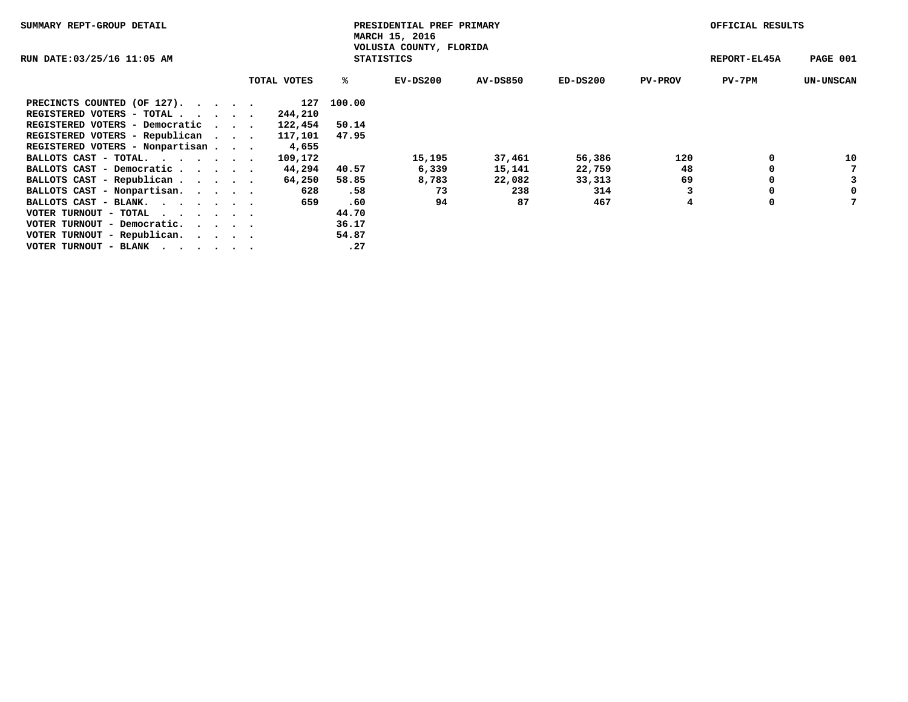| SUMMARY REPT-GROUP DETAIL                                   |                                              |             | PRESIDENTIAL PREF PRIMARY<br>MARCH 15, 2016 |            | OFFICIAL RESULTS |            |                |              |                  |  |
|-------------------------------------------------------------|----------------------------------------------|-------------|---------------------------------------------|------------|------------------|------------|----------------|--------------|------------------|--|
| RUN DATE:03/25/16 11:05 AM                                  | VOLUSIA COUNTY, FLORIDA<br><b>STATISTICS</b> |             |                                             |            |                  |            |                | REPORT-EL45A | PAGE 001         |  |
|                                                             |                                              | TOTAL VOTES | ℁                                           | $EV-DS200$ | AV-DS850         | $ED-DS200$ | <b>PV-PROV</b> | PV-7PM       | <b>UN-UNSCAN</b> |  |
| PRECINCTS COUNTED (OF 127).                                 |                                              | 127         | 100.00                                      |            |                  |            |                |              |                  |  |
| REGISTERED VOTERS - TOTAL                                   |                                              | 244,210     |                                             |            |                  |            |                |              |                  |  |
| REGISTERED VOTERS - Democratic                              |                                              | 122,454     | 50.14                                       |            |                  |            |                |              |                  |  |
| REGISTERED VOTERS - Republican                              |                                              | 117,101     | 47.95                                       |            |                  |            |                |              |                  |  |
| REGISTERED VOTERS - Nonpartisan                             |                                              | 4,655       |                                             |            |                  |            |                |              |                  |  |
| BALLOTS CAST - TOTAL.                                       |                                              | 109,172     |                                             | 15,195     | 37,461           | 56,386     | 120            |              | 10               |  |
| BALLOTS CAST - Democratic                                   |                                              | 44,294      | 40.57                                       | 6,339      | 15,141           | 22,759     | 48             |              |                  |  |
| BALLOTS CAST - Republican                                   |                                              | 64,250      | 58.85                                       | 8,783      | 22,082           | 33,313     | 69             | 0            | 3                |  |
| BALLOTS CAST - Nonpartisan.                                 |                                              | 628         | .58                                         | 73         | 238              | 314        |                | 0            | 0                |  |
| BALLOTS CAST - BLANK.                                       |                                              | 659         | .60                                         | 94         | 87               | 467        | 4              | 0            |                  |  |
| VOTER TURNOUT - TOTAL $\cdot \cdot \cdot \cdot \cdot \cdot$ |                                              |             | 44.70                                       |            |                  |            |                |              |                  |  |
| VOTER TURNOUT - Democratic.                                 |                                              |             | 36.17                                       |            |                  |            |                |              |                  |  |
| VOTER TURNOUT - Republican.                                 |                                              |             | 54.87                                       |            |                  |            |                |              |                  |  |
| VOTER TURNOUT - BLANK                                       |                                              |             | .27                                         |            |                  |            |                |              |                  |  |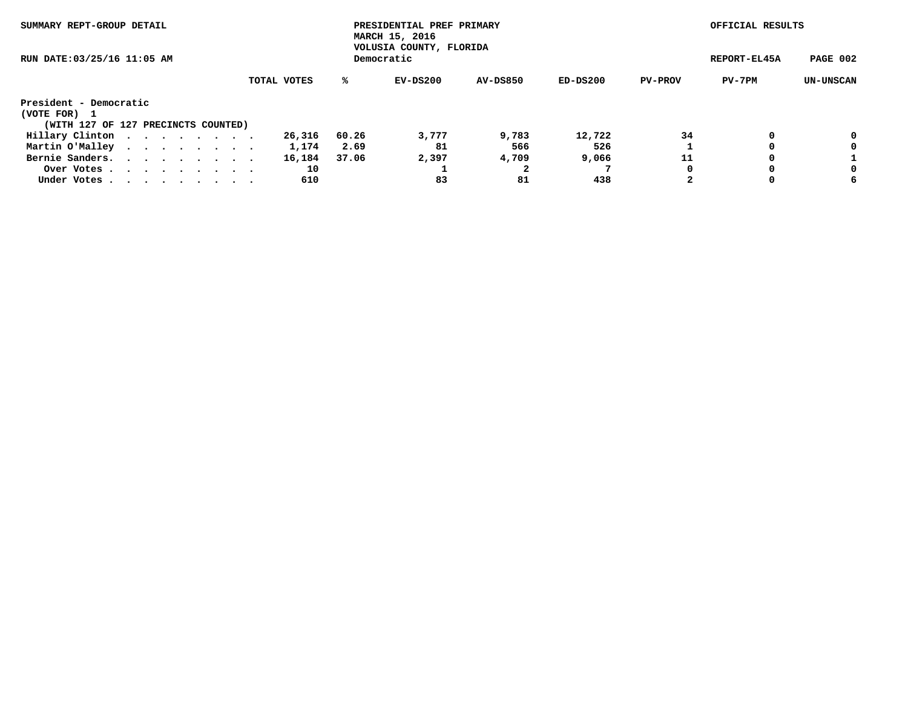| SUMMARY REPT-GROUP DETAIL<br>RUN DATE: 03/25/16 11:05 AM |  |  |  |  | PRESIDENTIAL PREF PRIMARY<br>MARCH 15, 2016<br>VOLUSIA COUNTY, FLORIDA |             | OFFICIAL RESULTS |          |                 |          |                |        |                  |
|----------------------------------------------------------|--|--|--|--|------------------------------------------------------------------------|-------------|------------------|----------|-----------------|----------|----------------|--------|------------------|
|                                                          |  |  |  |  | Democratic                                                             |             | REPORT-EL45A     | PAGE 002 |                 |          |                |        |                  |
|                                                          |  |  |  |  |                                                                        | TOTAL VOTES | %ะ               | EV-DS200 | <b>AV-DS850</b> | ED-DS200 | <b>PV-PROV</b> | PV-7PM | <b>UN-UNSCAN</b> |
| President - Democratic                                   |  |  |  |  |                                                                        |             |                  |          |                 |          |                |        |                  |
| (VOTE FOR)<br>$\mathbf{1}$                               |  |  |  |  |                                                                        |             |                  |          |                 |          |                |        |                  |
| (WITH 127 OF 127 PRECINCTS COUNTED)                      |  |  |  |  |                                                                        |             |                  |          |                 |          |                |        |                  |
| Hillary Clinton                                          |  |  |  |  |                                                                        | 26,316      | 60.26            | 3,777    | 9,783           | 12,722   | 34             | 0      | 0                |
| Martin O'Malley                                          |  |  |  |  |                                                                        | 1,174       | 2.69             | 81       | 566             | 526      |                |        | 0                |
| Bernie Sanders.                                          |  |  |  |  | $\mathbf{r}$ , and $\mathbf{r}$ , and $\mathbf{r}$ , and $\mathbf{r}$  | 16,184      | 37.06            | 2,397    | 4,709           | 9,066    | 11             |        |                  |
| Over Votes                                               |  |  |  |  |                                                                        | 10          |                  |          |                 |          | 0              | 0      | 0                |
| Under Votes.                                             |  |  |  |  |                                                                        | 610         |                  | 83       | 81              | 438      | 2              | 0      | 6                |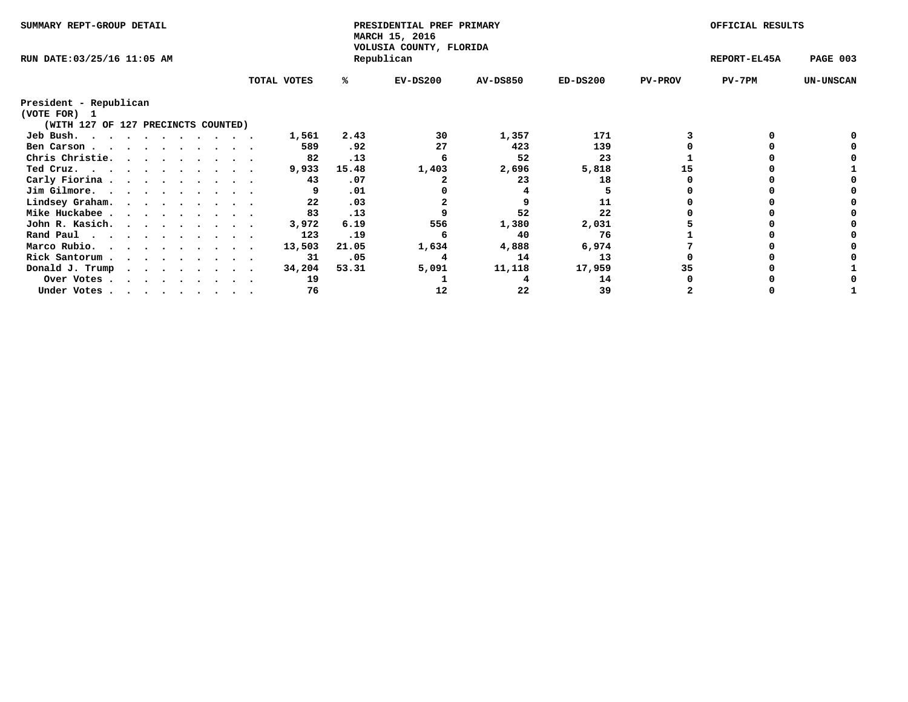| SUMMARY REPT-GROUP DETAIL                                                                                                                         |  |  |             | PRESIDENTIAL PREF PRIMARY<br>MARCH 15, 2016<br>VOLUSIA COUNTY, FLORIDA |            | OFFICIAL RESULTS |              |                |        |                  |
|---------------------------------------------------------------------------------------------------------------------------------------------------|--|--|-------------|------------------------------------------------------------------------|------------|------------------|--------------|----------------|--------|------------------|
| RUN DATE:03/25/16 11:05 AM                                                                                                                        |  |  |             |                                                                        | Republican |                  | REPORT-EL45A | PAGE 003       |        |                  |
|                                                                                                                                                   |  |  | TOTAL VOTES | ℁                                                                      | $EV-DS200$ | <b>AV-DS850</b>  | $ED-DS200$   | <b>PV-PROV</b> | PV-7PM | <b>UN-UNSCAN</b> |
| President - Republican                                                                                                                            |  |  |             |                                                                        |            |                  |              |                |        |                  |
| (VOTE FOR) 1                                                                                                                                      |  |  |             |                                                                        |            |                  |              |                |        |                  |
| (WITH 127 OF 127 PRECINCTS COUNTED)                                                                                                               |  |  |             |                                                                        |            |                  |              |                |        |                  |
| Jeb Bush.<br>.                                                                                                                                    |  |  | 1,561       | 2.43                                                                   | 30         | 1,357            | 171          |                |        |                  |
| Ben Carson                                                                                                                                        |  |  | 589         | .92                                                                    | 27         | 423              | 139          |                |        |                  |
| Chris Christie.<br>.                                                                                                                              |  |  | 82          | .13                                                                    |            | 52               | 23           |                |        |                  |
| Ted Cruz.                                                                                                                                         |  |  | 9,933       | 15.48                                                                  | 1,403      | 2,696            | 5,818        | 15             |        |                  |
| Carly Fiorina                                                                                                                                     |  |  | 43          | .07                                                                    |            | 23               | 18           |                |        |                  |
| Jim Gilmore.                                                                                                                                      |  |  |             | .01                                                                    |            |                  |              |                |        |                  |
| Lindsey Graham.                                                                                                                                   |  |  | 22          | .03                                                                    |            |                  | 11           |                |        |                  |
| Mike Huckabee                                                                                                                                     |  |  | 83          | .13                                                                    |            | 52               | 22           |                |        |                  |
| John R. Kasich.                                                                                                                                   |  |  | 3,972       | 6.19                                                                   | 556        | 1,380            | 2,031        |                |        |                  |
| Rand Paul                                                                                                                                         |  |  | 123         | .19                                                                    |            | 40               | 76           |                |        |                  |
| Marco Rubio.<br>.                                                                                                                                 |  |  | 13,503      | 21.05                                                                  | 1,634      | 4,888            | 6,974        |                |        |                  |
| Rick Santorum.                                                                                                                                    |  |  | 31          | .05                                                                    |            | 14               | 13           |                |        |                  |
| $\begin{array}{cccccccccccccccccc} \bullet & \bullet & \bullet & \bullet & \bullet & \bullet & \bullet & \bullet & \bullet & \bullet \end{array}$ |  |  |             |                                                                        |            |                  |              | 35             |        |                  |
| Donald J. Trump<br>$\cdot$ $\cdot$ $\cdot$ $\cdot$ $\cdot$ $\cdot$ $\cdot$ $\cdot$                                                                |  |  | 34,204      | 53.31                                                                  | 5,091      | 11,118           | 17,959       |                |        |                  |
| Over Votes                                                                                                                                        |  |  | 19          |                                                                        |            |                  | 14           |                |        |                  |
| Under Votes                                                                                                                                       |  |  | 76          |                                                                        | 12         | 22               | 39           |                |        |                  |